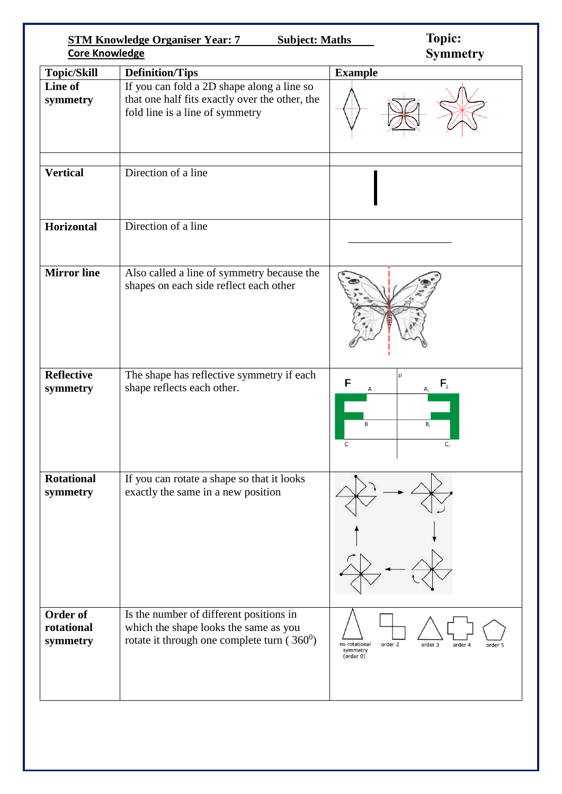| <b>Core Knowledge</b>              | <b>STM Knowledge Organiser Year: 7</b><br><b>Subject: Maths</b>                                                                   | <b>Topic:</b><br><b>Symmetry</b>                                                   |
|------------------------------------|-----------------------------------------------------------------------------------------------------------------------------------|------------------------------------------------------------------------------------|
| <b>Topic/Skill</b>                 | <b>Definition/Tips</b>                                                                                                            | <b>Example</b>                                                                     |
| Line of<br>symmetry                | If you can fold a 2D shape along a line so<br>that one half fits exactly over the other, the<br>fold line is a line of symmetry   |                                                                                    |
| <b>Vertical</b>                    | Direction of a line                                                                                                               |                                                                                    |
| <b>Horizontal</b>                  | Direction of a line                                                                                                               |                                                                                    |
| <b>Mirror</b> line                 | Also called a line of symmetry because the<br>shapes on each side reflect each other                                              |                                                                                    |
| <b>Reflective</b><br>symmetry      | The shape has reflective symmetry if each<br>shape reflects each other.                                                           | F<br>$F_{1}$<br>B<br>$B_{1}$<br>C<br>$C_{1}$                                       |
| <b>Rotational</b><br>symmetry      | If you can rotate a shape so that it looks<br>exactly the same in a new position                                                  |                                                                                    |
| Order of<br>rotational<br>symmetry | Is the number of different positions in<br>which the shape looks the same as you<br>rotate it through one complete turn $(360^0)$ | no rotational<br>order 2<br>order 3<br>order 4<br>order 5<br>symmetry<br>(order 0) |